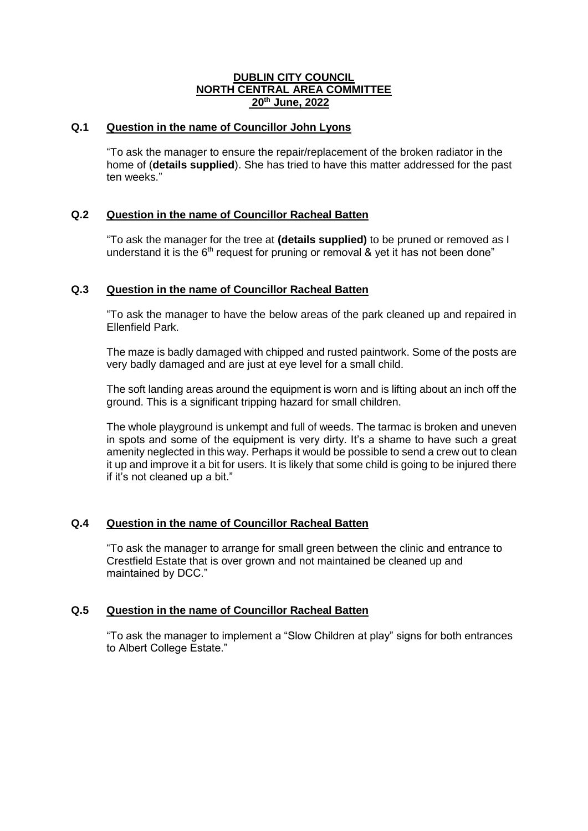### **DUBLIN CITY COUNCIL NORTH CENTRAL AREA COMMITTEE 20th June, 2022**

# **Q.1 Question in the name of Councillor John Lyons**

"To ask the manager to ensure the repair/replacement of the broken radiator in the home of (**details supplied**). She has tried to have this matter addressed for the past ten weeks."

# **Q.2 Question in the name of Councillor Racheal Batten**

"To ask the manager for the tree at **(details supplied)** to be pruned or removed as I understand it is the  $6<sup>th</sup>$  request for pruning or removal & yet it has not been done"

# **Q.3 Question in the name of Councillor Racheal Batten**

"To ask the manager to have the below areas of the park cleaned up and repaired in Ellenfield Park.

The maze is badly damaged with chipped and rusted paintwork. Some of the posts are very badly damaged and are just at eye level for a small child.

The soft landing areas around the equipment is worn and is lifting about an inch off the ground. This is a significant tripping hazard for small children.

The whole playground is unkempt and full of weeds. The tarmac is broken and uneven in spots and some of the equipment is very dirty. It's a shame to have such a great amenity neglected in this way. Perhaps it would be possible to send a crew out to clean it up and improve it a bit for users. It is likely that some child is going to be injured there if it's not cleaned up a bit."

# **Q.4 Question in the name of Councillor Racheal Batten**

"To ask the manager to arrange for small green between the clinic and entrance to Crestfield Estate that is over grown and not maintained be cleaned up and maintained by DCC."

### **Q.5 Question in the name of Councillor Racheal Batten**

"To ask the manager to implement a "Slow Children at play" signs for both entrances to Albert College Estate."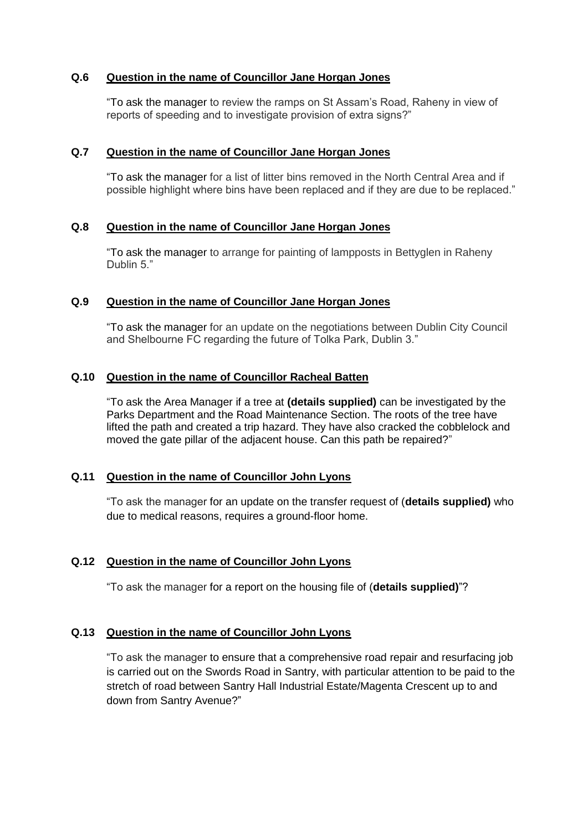# **Q.6 Question in the name of Councillor Jane Horgan Jones**

"To ask the manager to review the ramps on St Assam's Road, Raheny in view of reports of speeding and to investigate provision of extra signs?"

#### **Q.7 Question in the name of Councillor Jane Horgan Jones**

"To ask the manager for a list of litter bins removed in the North Central Area and if possible highlight where bins have been replaced and if they are due to be replaced."

#### **Q.8 Question in the name of Councillor Jane Horgan Jones**

"To ask the manager to arrange for painting of lampposts in Bettyglen in Raheny Dublin 5."

### **Q.9 Question in the name of Councillor Jane Horgan Jones**

"To ask the manager for an update on the negotiations between Dublin City Council and Shelbourne FC regarding the future of Tolka Park, Dublin 3."

#### **Q.10 Question in the name of Councillor Racheal Batten**

"To ask the Area Manager if a tree at **(details supplied)** can be investigated by the Parks Department and the Road Maintenance Section. The roots of the tree have lifted the path and created a trip hazard. They have also cracked the cobblelock and moved the gate pillar of the adjacent house. Can this path be repaired?"

### **Q.11 Question in the name of Councillor John Lyons**

"To ask the manager for an update on the transfer request of (**details supplied)** who due to medical reasons, requires a ground-floor home.

### **Q.12 Question in the name of Councillor John Lyons**

"To ask the manager for a report on the housing file of (**details supplied)**"?

### **Q.13 Question in the name of Councillor John Lyons**

"To ask the manager to ensure that a comprehensive road repair and resurfacing job is carried out on the Swords Road in Santry, with particular attention to be paid to the stretch of road between Santry Hall Industrial Estate/Magenta Crescent up to and down from Santry Avenue?"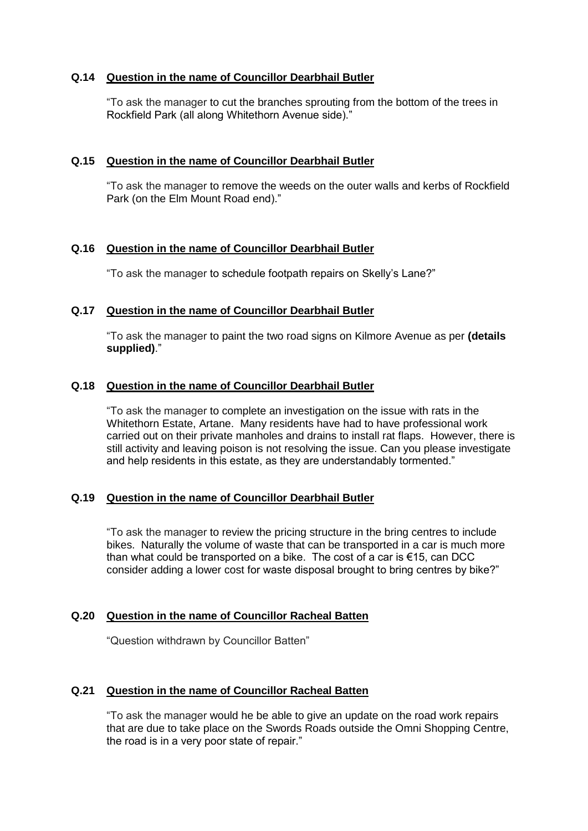# **Q.14 Question in the name of Councillor Dearbhail Butler**

"To ask the manager to cut the branches sprouting from the bottom of the trees in Rockfield Park (all along Whitethorn Avenue side)."

### **Q.15 Question in the name of Councillor Dearbhail Butler**

"To ask the manager to remove the weeds on the outer walls and kerbs of Rockfield Park (on the Elm Mount Road end)."

### **Q.16 Question in the name of Councillor Dearbhail Butler**

"To ask the manager to schedule footpath repairs on Skelly's Lane?"

#### **Q.17 Question in the name of Councillor Dearbhail Butler**

"To ask the manager to paint the two road signs on Kilmore Avenue as per **(details supplied)**."

#### **Q.18 Question in the name of Councillor Dearbhail Butler**

"To ask the manager to complete an investigation on the issue with rats in the Whitethorn Estate, Artane. Many residents have had to have professional work carried out on their private manholes and drains to install rat flaps. However, there is still activity and leaving poison is not resolving the issue. Can you please investigate and help residents in this estate, as they are understandably tormented."

# **Q.19 Question in the name of Councillor Dearbhail Butler**

"To ask the manager to review the pricing structure in the bring centres to include bikes. Naturally the volume of waste that can be transported in a car is much more than what could be transported on a bike. The cost of a car is €15, can DCC consider adding a lower cost for waste disposal brought to bring centres by bike?"

### **Q.20 Question in the name of Councillor Racheal Batten**

"Question withdrawn by Councillor Batten"

### **Q.21 Question in the name of Councillor Racheal Batten**

"To ask the manager would he be able to give an update on the road work repairs that are due to take place on the Swords Roads outside the Omni Shopping Centre, the road is in a very poor state of repair."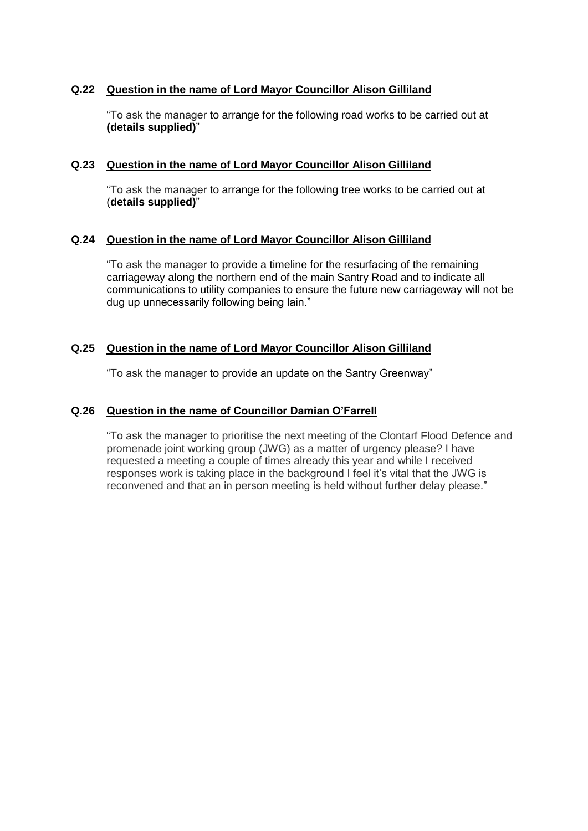# **Q.22 Question in the name of Lord Mayor Councillor Alison Gilliland**

"To ask the manager to arrange for the following road works to be carried out at **(details supplied)**"

### **Q.23 Question in the name of Lord Mayor Councillor Alison Gilliland**

"To ask the manager to arrange for the following tree works to be carried out at (**details supplied)**"

### **Q.24 Question in the name of Lord Mayor Councillor Alison Gilliland**

"To ask the manager to provide a timeline for the resurfacing of the remaining carriageway along the northern end of the main Santry Road and to indicate all communications to utility companies to ensure the future new carriageway will not be dug up unnecessarily following being lain."

### **Q.25 Question in the name of Lord Mayor Councillor Alison Gilliland**

"To ask the manager to provide an update on the Santry Greenway"

#### **Q.26 Question in the name of Councillor Damian O'Farrell**

"To ask the manager to prioritise the next meeting of the Clontarf Flood Defence and promenade joint working group (JWG) as a matter of urgency please? I have requested a meeting a couple of times already this year and while I received responses work is taking place in the background I feel it's vital that the JWG is reconvened and that an in person meeting is held without further delay please."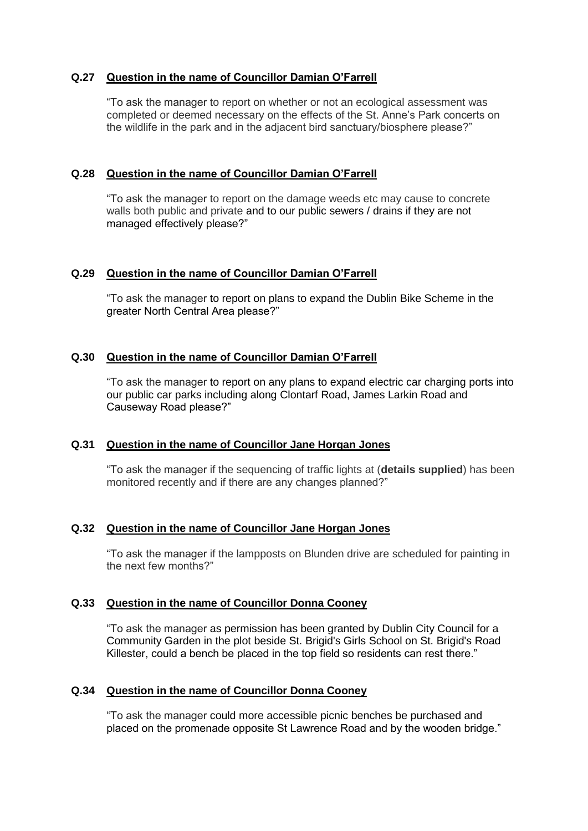## **Q.27 Question in the name of Councillor Damian O'Farrell**

"To ask the manager to report on whether or not an ecological assessment was completed or deemed necessary on the effects of the St. Anne's Park concerts on the wildlife in the park and in the adjacent bird sanctuary/biosphere please?"

### **Q.28 Question in the name of Councillor Damian O'Farrell**

"To ask the manager to report on the damage weeds etc may cause to concrete walls both public and private and to our public sewers / drains if they are not managed effectively please?"

### **Q.29 Question in the name of Councillor Damian O'Farrell**

"To ask the manager to report on plans to expand the Dublin Bike Scheme in the greater North Central Area please?"

# **Q.30 Question in the name of Councillor Damian O'Farrell**

"To ask the manager to report on any plans to expand electric car charging ports into our public car parks including along Clontarf Road, James Larkin Road and Causeway Road please?"

### **Q.31 Question in the name of Councillor Jane Horgan Jones**

"To ask the manager if the sequencing of traffic lights at (**details supplied**) has been monitored recently and if there are any changes planned?"

### **Q.32 Question in the name of Councillor Jane Horgan Jones**

"To ask the manager if the lampposts on Blunden drive are scheduled for painting in the next few months?"

### **Q.33 Question in the name of Councillor Donna Cooney**

"To ask the manager as permission has been granted by Dublin City Council for a Community Garden in the plot beside St. Brigid's Girls School on St. Brigid's Road Killester, could a bench be placed in the top field so residents can rest there."

### **Q.34 Question in the name of Councillor Donna Cooney**

"To ask the manager could more accessible picnic benches be purchased and placed on the promenade opposite St Lawrence Road and by the wooden bridge."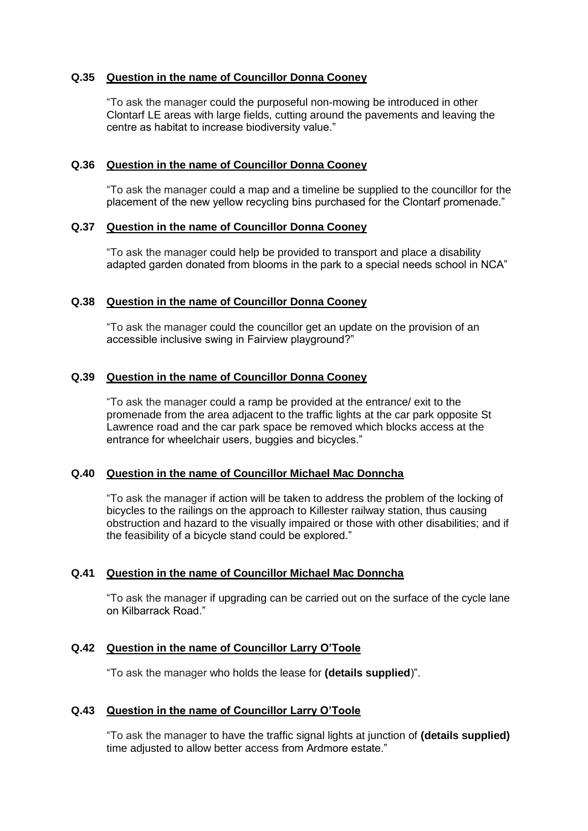## **Q.35 Question in the name of Councillor Donna Cooney**

"To ask the manager could the purposeful non-mowing be introduced in other Clontarf LE areas with large fields, cutting around the pavements and leaving the centre as habitat to increase biodiversity value."

#### **Q.36 Question in the name of Councillor Donna Cooney**

"To ask the manager could a map and a timeline be supplied to the councillor for the placement of the new yellow recycling bins purchased for the Clontarf promenade."

#### **Q.37 Question in the name of Councillor Donna Cooney**

"To ask the manager could help be provided to transport and place a disability adapted garden donated from blooms in the park to a special needs school in NCA"

#### **Q.38 Question in the name of Councillor Donna Cooney**

"To ask the manager could the councillor get an update on the provision of an accessible inclusive swing in Fairview playground?"

#### **Q.39 Question in the name of Councillor Donna Cooney**

"To ask the manager could a ramp be provided at the entrance/ exit to the promenade from the area adjacent to the traffic lights at the car park opposite St Lawrence road and the car park space be removed which blocks access at the entrance for wheelchair users, buggies and bicycles."

### **Q.40 Question in the name of Councillor Michael Mac Donncha**

"To ask the manager if action will be taken to address the problem of the locking of bicycles to the railings on the approach to Killester railway station, thus causing obstruction and hazard to the visually impaired or those with other disabilities; and if the feasibility of a bicycle stand could be explored."

#### **Q.41 Question in the name of Councillor Michael Mac Donncha**

"To ask the manager if upgrading can be carried out on the surface of the cycle lane on Kilbarrack Road."

### **Q.42 Question in the name of Councillor Larry O'Toole**

"To ask the manager who holds the lease for **(details supplied**)".

#### **Q.43 Question in the name of Councillor Larry O'Toole**

"To ask the manager to have the traffic signal lights at junction of **(details supplied)**  time adjusted to allow better access from Ardmore estate."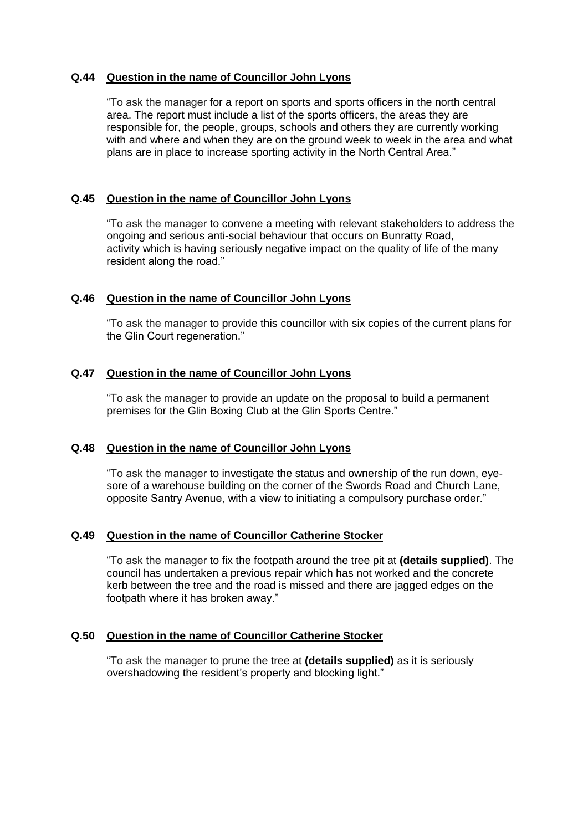# **Q.44 Question in the name of Councillor John Lyons**

"To ask the manager for a report on sports and sports officers in the north central area. The report must include a list of the sports officers, the areas they are responsible for, the people, groups, schools and others they are currently working with and where and when they are on the ground week to week in the area and what plans are in place to increase sporting activity in the North Central Area."

# **Q.45 Question in the name of Councillor John Lyons**

"To ask the manager to convene a meeting with relevant stakeholders to address the ongoing and serious anti-social behaviour that occurs on Bunratty Road, activity which is having seriously negative impact on the quality of life of the many resident along the road."

# **Q.46 Question in the name of Councillor John Lyons**

"To ask the manager to provide this councillor with six copies of the current plans for the Glin Court regeneration."

# **Q.47 Question in the name of Councillor John Lyons**

"To ask the manager to provide an update on the proposal to build a permanent premises for the Glin Boxing Club at the Glin Sports Centre."

### **Q.48 Question in the name of Councillor John Lyons**

"To ask the manager to investigate the status and ownership of the run down, eyesore of a warehouse building on the corner of the Swords Road and Church Lane, opposite Santry Avenue, with a view to initiating a compulsory purchase order."

### **Q.49 Question in the name of Councillor Catherine Stocker**

"To ask the manager to fix the footpath around the tree pit at **(details supplied)**. The council has undertaken a previous repair which has not worked and the concrete kerb between the tree and the road is missed and there are jagged edges on the footpath where it has broken away."

### **Q.50 Question in the name of Councillor Catherine Stocker**

"To ask the manager to prune the tree at **(details supplied)** as it is seriously overshadowing the resident's property and blocking light."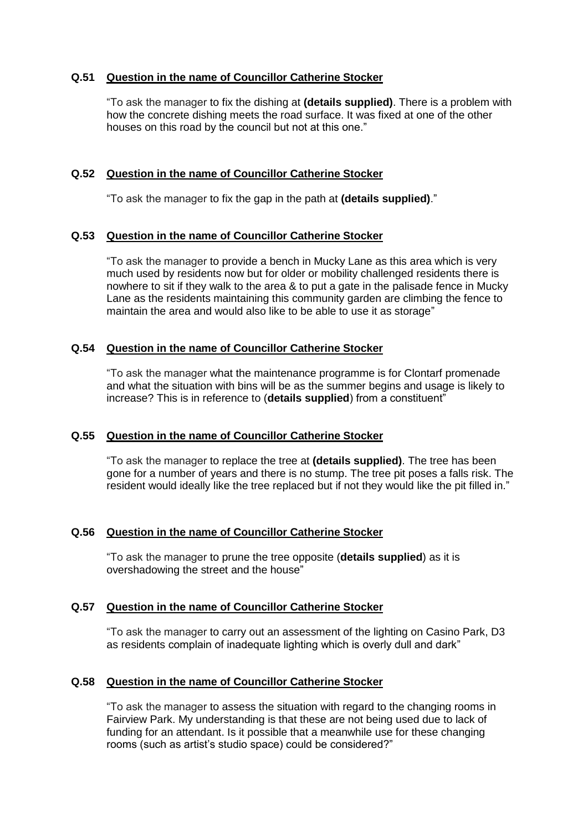## **Q.51 Question in the name of Councillor Catherine Stocker**

"To ask the manager to fix the dishing at **(details supplied)**. There is a problem with how the concrete dishing meets the road surface. It was fixed at one of the other houses on this road by the council but not at this one."

## **Q.52 Question in the name of Councillor Catherine Stocker**

"To ask the manager to fix the gap in the path at **(details supplied)**."

### **Q.53 Question in the name of Councillor Catherine Stocker**

"To ask the manager to provide a bench in Mucky Lane as this area which is very much used by residents now but for older or mobility challenged residents there is nowhere to sit if they walk to the area & to put a gate in the palisade fence in Mucky Lane as the residents maintaining this community garden are climbing the fence to maintain the area and would also like to be able to use it as storage"

### **Q.54 Question in the name of Councillor Catherine Stocker**

"To ask the manager what the maintenance programme is for Clontarf promenade and what the situation with bins will be as the summer begins and usage is likely to increase? This is in reference to (**details supplied**) from a constituent"

### **Q.55 Question in the name of Councillor Catherine Stocker**

"To ask the manager to replace the tree at **(details supplied)**. The tree has been gone for a number of years and there is no stump. The tree pit poses a falls risk. The resident would ideally like the tree replaced but if not they would like the pit filled in."

### **Q.56 Question in the name of Councillor Catherine Stocker**

"To ask the manager to prune the tree opposite (**details supplied**) as it is overshadowing the street and the house"

### **Q.57 Question in the name of Councillor Catherine Stocker**

"To ask the manager to carry out an assessment of the lighting on Casino Park, D3 as residents complain of inadequate lighting which is overly dull and dark"

# **Q.58 Question in the name of Councillor Catherine Stocker**

"To ask the manager to assess the situation with regard to the changing rooms in Fairview Park. My understanding is that these are not being used due to lack of funding for an attendant. Is it possible that a meanwhile use for these changing rooms (such as artist's studio space) could be considered?"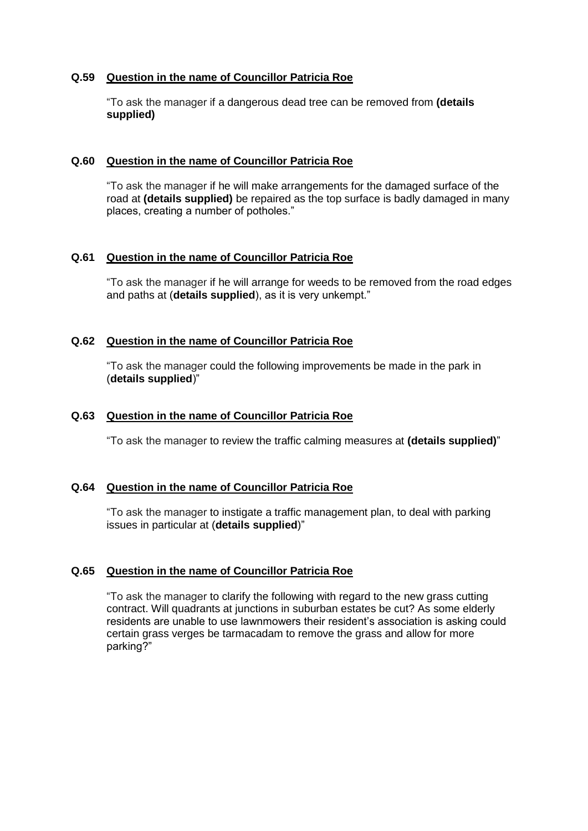### **Q.59 Question in the name of Councillor Patricia Roe**

"To ask the manager if a dangerous dead tree can be removed from **(details supplied)** 

#### **Q.60 Question in the name of Councillor Patricia Roe**

"To ask the manager if he will make arrangements for the damaged surface of the road at **(details supplied)** be repaired as the top surface is badly damaged in many places, creating a number of potholes."

### **Q.61 Question in the name of Councillor Patricia Roe**

"To ask the manager if he will arrange for weeds to be removed from the road edges and paths at (**details supplied**), as it is very unkempt."

#### **Q.62 Question in the name of Councillor Patricia Roe**

"To ask the manager could the following improvements be made in the park in (**details supplied**)"

#### **Q.63 Question in the name of Councillor Patricia Roe**

"To ask the manager to review the traffic calming measures at **(details supplied)**"

#### **Q.64 Question in the name of Councillor Patricia Roe**

"To ask the manager to instigate a traffic management plan, to deal with parking issues in particular at (**details supplied**)"

#### **Q.65 Question in the name of Councillor Patricia Roe**

"To ask the manager to clarify the following with regard to the new grass cutting contract. Will quadrants at junctions in suburban estates be cut? As some elderly residents are unable to use lawnmowers their resident's association is asking could certain grass verges be tarmacadam to remove the grass and allow for more parking?"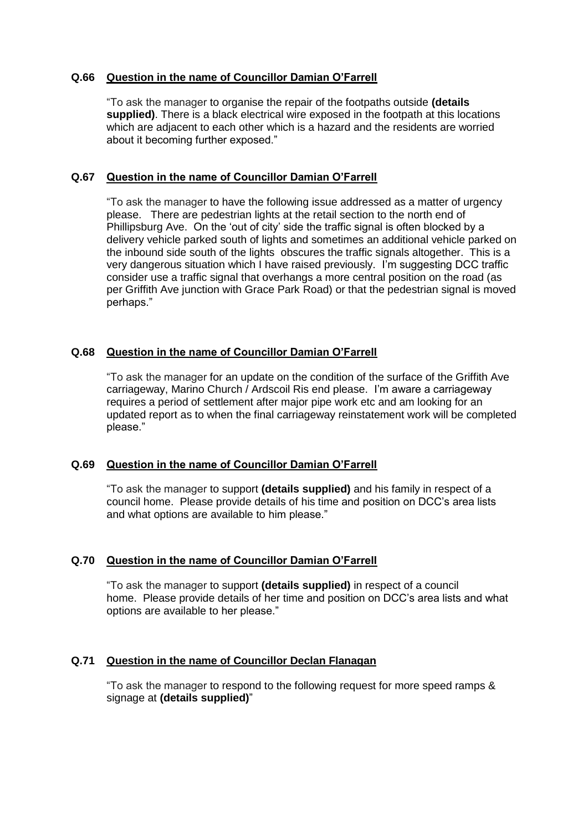## **Q.66 Question in the name of Councillor Damian O'Farrell**

"To ask the manager to organise the repair of the footpaths outside **(details supplied)**. There is a black electrical wire exposed in the footpath at this locations which are adjacent to each other which is a hazard and the residents are worried about it becoming further exposed."

# **Q.67 Question in the name of Councillor Damian O'Farrell**

"To ask the manager to have the following issue addressed as a matter of urgency please. There are pedestrian lights at the retail section to the north end of Phillipsburg Ave. On the 'out of city' side the traffic signal is often blocked by a delivery vehicle parked south of lights and sometimes an additional vehicle parked on the inbound side south of the lights obscures the traffic signals altogether. This is a very dangerous situation which I have raised previously. I'm suggesting DCC traffic consider use a traffic signal that overhangs a more central position on the road (as per Griffith Ave junction with Grace Park Road) or that the pedestrian signal is moved perhaps."

# **Q.68 Question in the name of Councillor Damian O'Farrell**

"To ask the manager for an update on the condition of the surface of the Griffith Ave carriageway, Marino Church / Ardscoil Ris end please. I'm aware a carriageway requires a period of settlement after major pipe work etc and am looking for an updated report as to when the final carriageway reinstatement work will be completed please."

### **Q.69 Question in the name of Councillor Damian O'Farrell**

"To ask the manager to support **(details supplied)** and his family in respect of a council home. Please provide details of his time and position on DCC's area lists and what options are available to him please."

### **Q.70 Question in the name of Councillor Damian O'Farrell**

"To ask the manager to support **(details supplied)** in respect of a council home. Please provide details of her time and position on DCC's area lists and what options are available to her please."

### **Q.71 Question in the name of Councillor Declan Flanagan**

"To ask the manager to respond to the following request for more speed ramps & signage at **(details supplied)**"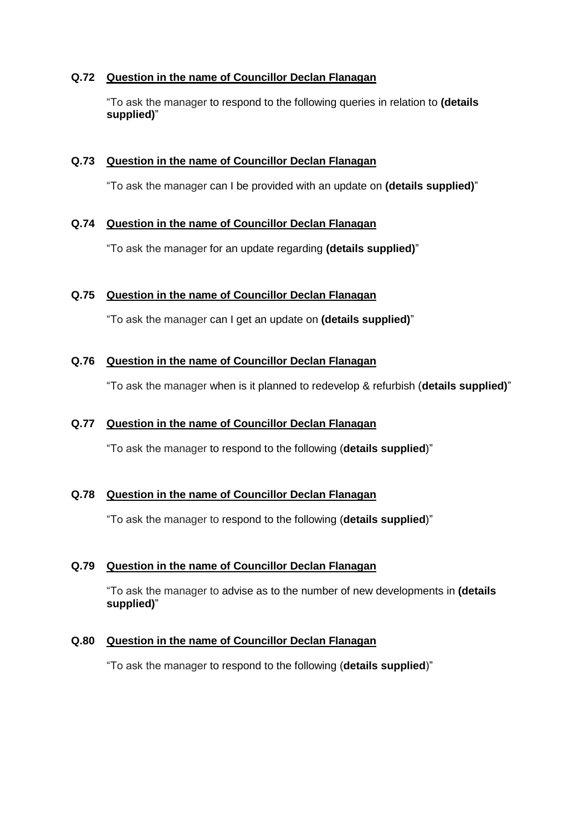# **Q.72 Question in the name of Councillor Declan Flanagan**

"To ask the manager to respond to the following queries in relation to **(details supplied)**"

### **Q.73 Question in the name of Councillor Declan Flanagan**

"To ask the manager can I be provided with an update on **(details supplied)**"

# **Q.74 Question in the name of Councillor Declan Flanagan**

"To ask the manager for an update regarding **(details supplied)**"

# **Q.75 Question in the name of Councillor Declan Flanagan**

"To ask the manager can I get an update on **(details supplied)**"

# **Q.76 Question in the name of Councillor Declan Flanagan**

"To ask the manager when is it planned to redevelop & refurbish (**details supplied)**"

# **Q.77 Question in the name of Councillor Declan Flanagan**

"To ask the manager to respond to the following (**details supplied**)"

### **Q.78 Question in the name of Councillor Declan Flanagan**

"To ask the manager to respond to the following (**details supplied**)"

# **Q.79 Question in the name of Councillor Declan Flanagan**

"To ask the manager to advise as to the number of new developments in **(details supplied)**"

### **Q.80 Question in the name of Councillor Declan Flanagan**

"To ask the manager to respond to the following (**details supplied**)"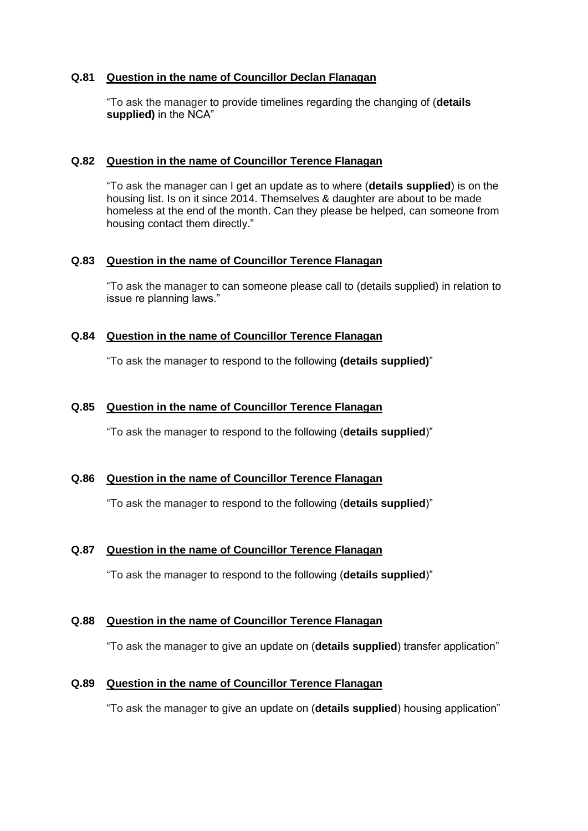### **Q.81 Question in the name of Councillor Declan Flanagan**

"To ask the manager to provide timelines regarding the changing of (**details supplied)** in the NCA"

#### **Q.82 Question in the name of Councillor Terence Flanagan**

"To ask the manager can I get an update as to where (**details supplied**) is on the housing list. Is on it since 2014. Themselves & daughter are about to be made homeless at the end of the month. Can they please be helped, can someone from housing contact them directly."

#### **Q.83 Question in the name of Councillor Terence Flanagan**

"To ask the manager to can someone please call to (details supplied) in relation to issue re planning laws."

### **Q.84 Question in the name of Councillor Terence Flanagan**

"To ask the manager to respond to the following **(details supplied)**"

#### **Q.85 Question in the name of Councillor Terence Flanagan**

"To ask the manager to respond to the following (**details supplied**)"

### **Q.86 Question in the name of Councillor Terence Flanagan**

"To ask the manager to respond to the following (**details supplied**)"

## **Q.87 Question in the name of Councillor Terence Flanagan**

"To ask the manager to respond to the following (**details supplied**)"

### **Q.88 Question in the name of Councillor Terence Flanagan**

"To ask the manager to give an update on (**details supplied**) transfer application"

#### **Q.89 Question in the name of Councillor Terence Flanagan**

"To ask the manager to give an update on (**details supplied**) housing application"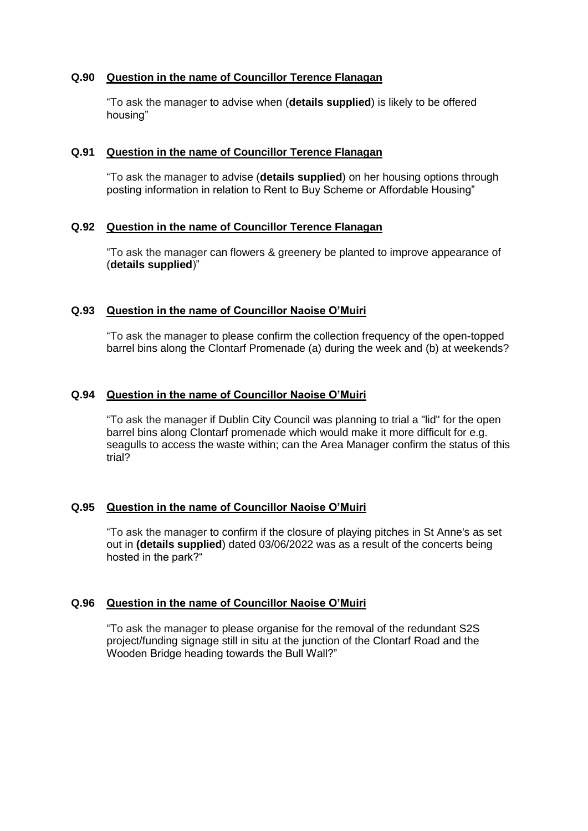### **Q.90 Question in the name of Councillor Terence Flanagan**

"To ask the manager to advise when (**details supplied**) is likely to be offered housing"

#### **Q.91 Question in the name of Councillor Terence Flanagan**

"To ask the manager to advise (**details supplied**) on her housing options through posting information in relation to Rent to Buy Scheme or Affordable Housing"

### **Q.92 Question in the name of Councillor Terence Flanagan**

"To ask the manager can flowers & greenery be planted to improve appearance of (**details supplied**)"

### **Q.93 Question in the name of Councillor Naoise O'Muiri**

"To ask the manager to please confirm the collection frequency of the open-topped barrel bins along the Clontarf Promenade (a) during the week and (b) at weekends?

### **Q.94 Question in the name of Councillor Naoise O'Muiri**

"To ask the manager if Dublin City Council was planning to trial a "lid" for the open barrel bins along Clontarf promenade which would make it more difficult for e.g. seagulls to access the waste within; can the Area Manager confirm the status of this trial?

### **Q.95 Question in the name of Councillor Naoise O'Muiri**

"To ask the manager to confirm if the closure of playing pitches in St Anne's as set out in **(details supplied**) dated 03/06/2022 was as a result of the concerts being hosted in the park?"

### **Q.96 Question in the name of Councillor Naoise O'Muiri**

"To ask the manager to please organise for the removal of the redundant S2S project/funding signage still in situ at the junction of the Clontarf Road and the Wooden Bridge heading towards the Bull Wall?"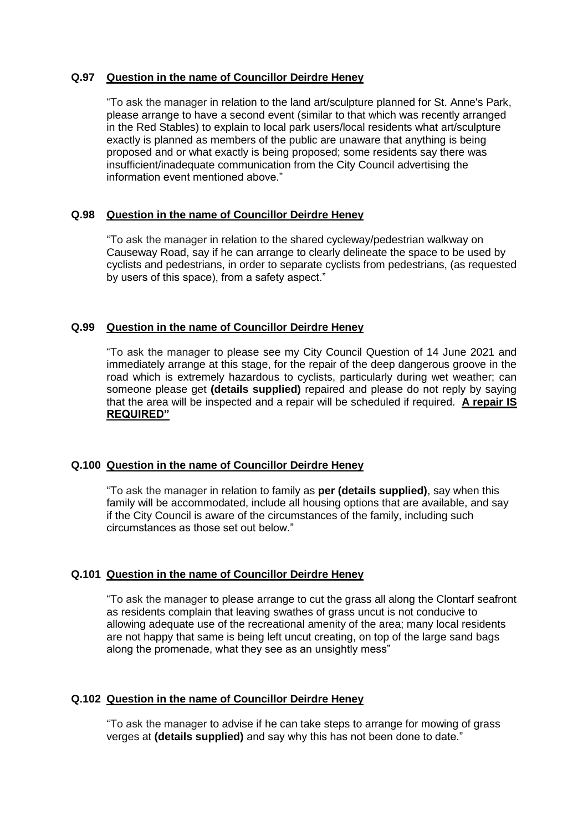# **Q.97 Question in the name of Councillor Deirdre Heney**

"To ask the manager in relation to the land art/sculpture planned for St. Anne's Park, please arrange to have a second event (similar to that which was recently arranged in the Red Stables) to explain to local park users/local residents what art/sculpture exactly is planned as members of the public are unaware that anything is being proposed and or what exactly is being proposed; some residents say there was insufficient/inadequate communication from the City Council advertising the information event mentioned above."

# **Q.98 Question in the name of Councillor Deirdre Heney**

"To ask the manager in relation to the shared cycleway/pedestrian walkway on Causeway Road, say if he can arrange to clearly delineate the space to be used by cyclists and pedestrians, in order to separate cyclists from pedestrians, (as requested by users of this space), from a safety aspect."

### **Q.99 Question in the name of Councillor Deirdre Heney**

"To ask the manager to please see my City Council Question of 14 June 2021 and immediately arrange at this stage, for the repair of the deep dangerous groove in the road which is extremely hazardous to cyclists, particularly during wet weather; can someone please get **(details supplied)** repaired and please do not reply by saying that the area will be inspected and a repair will be scheduled if required. **A repair IS REQUIRED"**

### **Q.100 Question in the name of Councillor Deirdre Heney**

"To ask the manager in relation to family as **per (details supplied)**, say when this family will be accommodated, include all housing options that are available, and say if the City Council is aware of the circumstances of the family, including such circumstances as those set out below."

# **Q.101 Question in the name of Councillor Deirdre Heney**

"To ask the manager to please arrange to cut the grass all along the Clontarf seafront as residents complain that leaving swathes of grass uncut is not conducive to allowing adequate use of the recreational amenity of the area; many local residents are not happy that same is being left uncut creating, on top of the large sand bags along the promenade, what they see as an unsightly mess"

### **Q.102 Question in the name of Councillor Deirdre Heney**

"To ask the manager to advise if he can take steps to arrange for mowing of grass verges at **(details supplied)** and say why this has not been done to date."